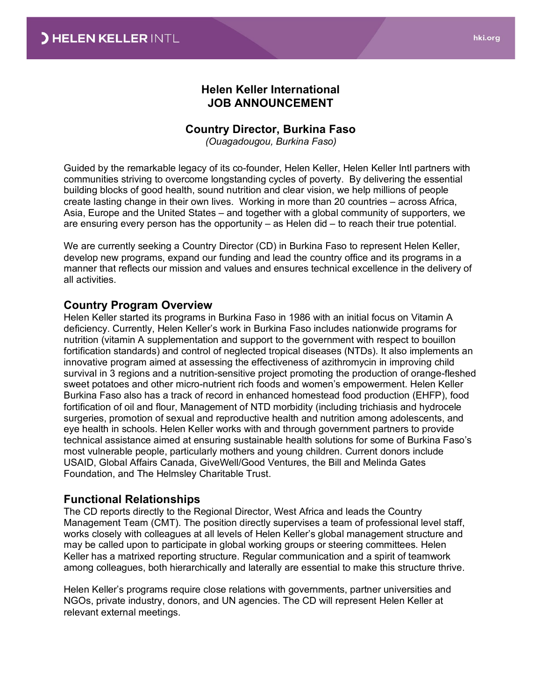## **Helen Keller International JOB ANNOUNCEMENT**

## **Country Director, Burkina Faso**

*(Ouagadougou, Burkina Faso)*

Guided by the remarkable legacy of its co-founder, Helen Keller, Helen Keller Intl partners with communities striving to overcome longstanding cycles of poverty. By delivering the essential building blocks of good health, sound nutrition and clear vision, we help millions of people create lasting change in their own lives. Working in more than 20 countries – across Africa, Asia, Europe and the United States – and together with a global community of supporters, we are ensuring every person has the opportunity – as Helen did – to reach their true potential.

We are currently seeking a Country Director (CD) in Burkina Faso to represent Helen Keller, develop new programs, expand our funding and lead the country office and its programs in a manner that reflects our mission and values and ensures technical excellence in the delivery of all activities.

### **Country Program Overview**

Helen Keller started its programs in Burkina Faso in 1986 with an initial focus on Vitamin A deficiency. Currently, Helen Keller's work in Burkina Faso includes nationwide programs for nutrition (vitamin A supplementation and support to the government with respect to bouillon fortification standards) and control of neglected tropical diseases (NTDs). It also implements an innovative program aimed at assessing the effectiveness of azithromycin in improving child survival in 3 regions and a nutrition-sensitive project promoting the production of orange-fleshed sweet potatoes and other micro-nutrient rich foods and women's empowerment. Helen Keller Burkina Faso also has a track of record in enhanced homestead food production (EHFP), food fortification of oil and flour, Management of NTD morbidity (including trichiasis and hydrocele surgeries, promotion of sexual and reproductive health and nutrition among adolescents, and eye health in schools. Helen Keller works with and through government partners to provide technical assistance aimed at ensuring sustainable health solutions for some of Burkina Faso's most vulnerable people, particularly mothers and young children. Current donors include USAID, Global Affairs Canada, GiveWell/Good Ventures, the Bill and Melinda Gates Foundation, and The Helmsley Charitable Trust.

## **Functional Relationships**

The CD reports directly to the Regional Director, West Africa and leads the Country Management Team (CMT). The position directly supervises a team of professional level staff, works closely with colleagues at all levels of Helen Keller's global management structure and may be called upon to participate in global working groups or steering committees. Helen Keller has a matrixed reporting structure. Regular communication and a spirit of teamwork among colleagues, both hierarchically and laterally are essential to make this structure thrive.

Helen Keller's programs require close relations with governments, partner universities and NGOs, private industry, donors, and UN agencies. The CD will represent Helen Keller at relevant external meetings.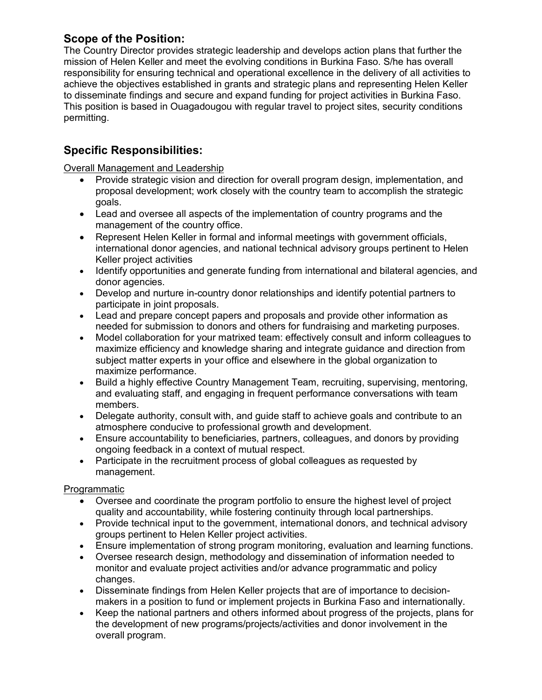# **Scope of the Position:**

The Country Director provides strategic leadership and develops action plans that further the mission of Helen Keller and meet the evolving conditions in Burkina Faso. S/he has overall responsibility for ensuring technical and operational excellence in the delivery of all activities to achieve the objectives established in grants and strategic plans and representing Helen Keller to disseminate findings and secure and expand funding for project activities in Burkina Faso. This position is based in Ouagadougou with regular travel to project sites, security conditions permitting.

# **Specific Responsibilities:**

Overall Management and Leadership

- Provide strategic vision and direction for overall program design, implementation, and proposal development; work closely with the country team to accomplish the strategic goals.
- Lead and oversee all aspects of the implementation of country programs and the management of the country office.
- Represent Helen Keller in formal and informal meetings with government officials, international donor agencies, and national technical advisory groups pertinent to Helen Keller project activities
- Identify opportunities and generate funding from international and bilateral agencies, and donor agencies.
- Develop and nurture in-country donor relationships and identify potential partners to participate in joint proposals.
- Lead and prepare concept papers and proposals and provide other information as needed for submission to donors and others for fundraising and marketing purposes.
- Model collaboration for your matrixed team: effectively consult and inform colleagues to maximize efficiency and knowledge sharing and integrate guidance and direction from subject matter experts in your office and elsewhere in the global organization to maximize performance.
- Build a highly effective Country Management Team, recruiting, supervising, mentoring, and evaluating staff, and engaging in frequent performance conversations with team members.
- Delegate authority, consult with, and guide staff to achieve goals and contribute to an atmosphere conducive to professional growth and development.
- Ensure accountability to beneficiaries, partners, colleagues, and donors by providing ongoing feedback in a context of mutual respect.
- Participate in the recruitment process of global colleagues as requested by management.

### Programmatic

- Oversee and coordinate the program portfolio to ensure the highest level of project quality and accountability, while fostering continuity through local partnerships.
- Provide technical input to the government, international donors, and technical advisory groups pertinent to Helen Keller project activities.
- Ensure implementation of strong program monitoring, evaluation and learning functions.
- Oversee research design, methodology and dissemination of information needed to monitor and evaluate project activities and/or advance programmatic and policy changes.
- Disseminate findings from Helen Keller projects that are of importance to decisionmakers in a position to fund or implement projects in Burkina Faso and internationally.
- Keep the national partners and others informed about progress of the projects, plans for the development of new programs/projects/activities and donor involvement in the overall program.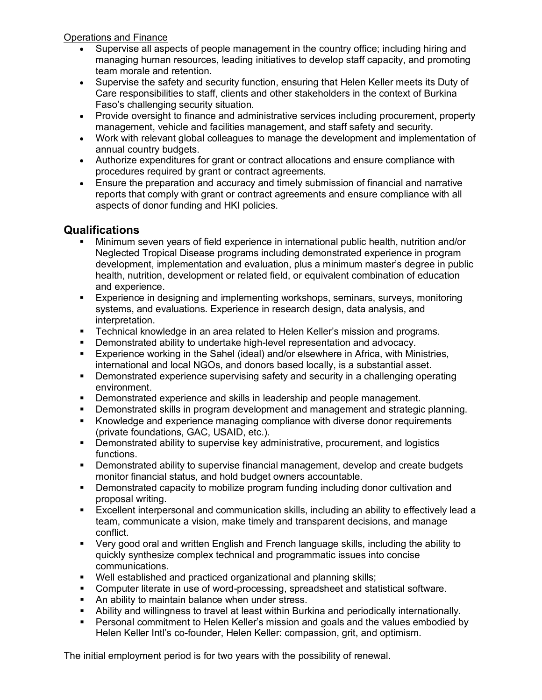Operations and Finance

- Supervise all aspects of people management in the country office; including hiring and managing human resources, leading initiatives to develop staff capacity, and promoting team morale and retention.
- Supervise the safety and security function, ensuring that Helen Keller meets its Duty of Care responsibilities to staff, clients and other stakeholders in the context of Burkina Faso's challenging security situation.
- Provide oversight to finance and administrative services including procurement, property management, vehicle and facilities management, and staff safety and security.
- Work with relevant global colleagues to manage the development and implementation of annual country budgets.
- Authorize expenditures for grant or contract allocations and ensure compliance with procedures required by grant or contract agreements.
- Ensure the preparation and accuracy and timely submission of financial and narrative reports that comply with grant or contract agreements and ensure compliance with all aspects of donor funding and HKI policies.

# **Qualifications**

- Minimum seven years of field experience in international public health, nutrition and/or Neglected Tropical Disease programs including demonstrated experience in program development, implementation and evaluation, plus a minimum master's degree in public health, nutrition, development or related field, or equivalent combination of education and experience.
- Experience in designing and implementing workshops, seminars, surveys, monitoring systems, and evaluations. Experience in research design, data analysis, and interpretation.
- Technical knowledge in an area related to Helen Keller's mission and programs.
- Demonstrated ability to undertake high-level representation and advocacy.
- Experience working in the Sahel (ideal) and/or elsewhere in Africa, with Ministries, international and local NGOs, and donors based locally, is a substantial asset.
- Demonstrated experience supervising safety and security in a challenging operating environment.
- Demonstrated experience and skills in leadership and people management.
- Demonstrated skills in program development and management and strategic planning.
- Knowledge and experience managing compliance with diverse donor requirements (private foundations, GAC, USAID, etc.).
- **•** Demonstrated ability to supervise key administrative, procurement, and logistics functions.
- Demonstrated ability to supervise financial management, develop and create budgets monitor financial status, and hold budget owners accountable.
- Demonstrated capacity to mobilize program funding including donor cultivation and proposal writing.
- Excellent interpersonal and communication skills, including an ability to effectively lead a team, communicate a vision, make timely and transparent decisions, and manage conflict.
- Very good oral and written English and French language skills, including the ability to quickly synthesize complex technical and programmatic issues into concise communications.
- Well established and practiced organizational and planning skills;
- Computer literate in use of word-processing, spreadsheet and statistical software.
- An ability to maintain balance when under stress.
- Ability and willingness to travel at least within Burkina and periodically internationally.
- **Personal commitment to Helen Keller's mission and goals and the values embodied by** Helen Keller Intl's co-founder, Helen Keller: compassion, grit, and optimism.

The initial employment period is for two years with the possibility of renewal.